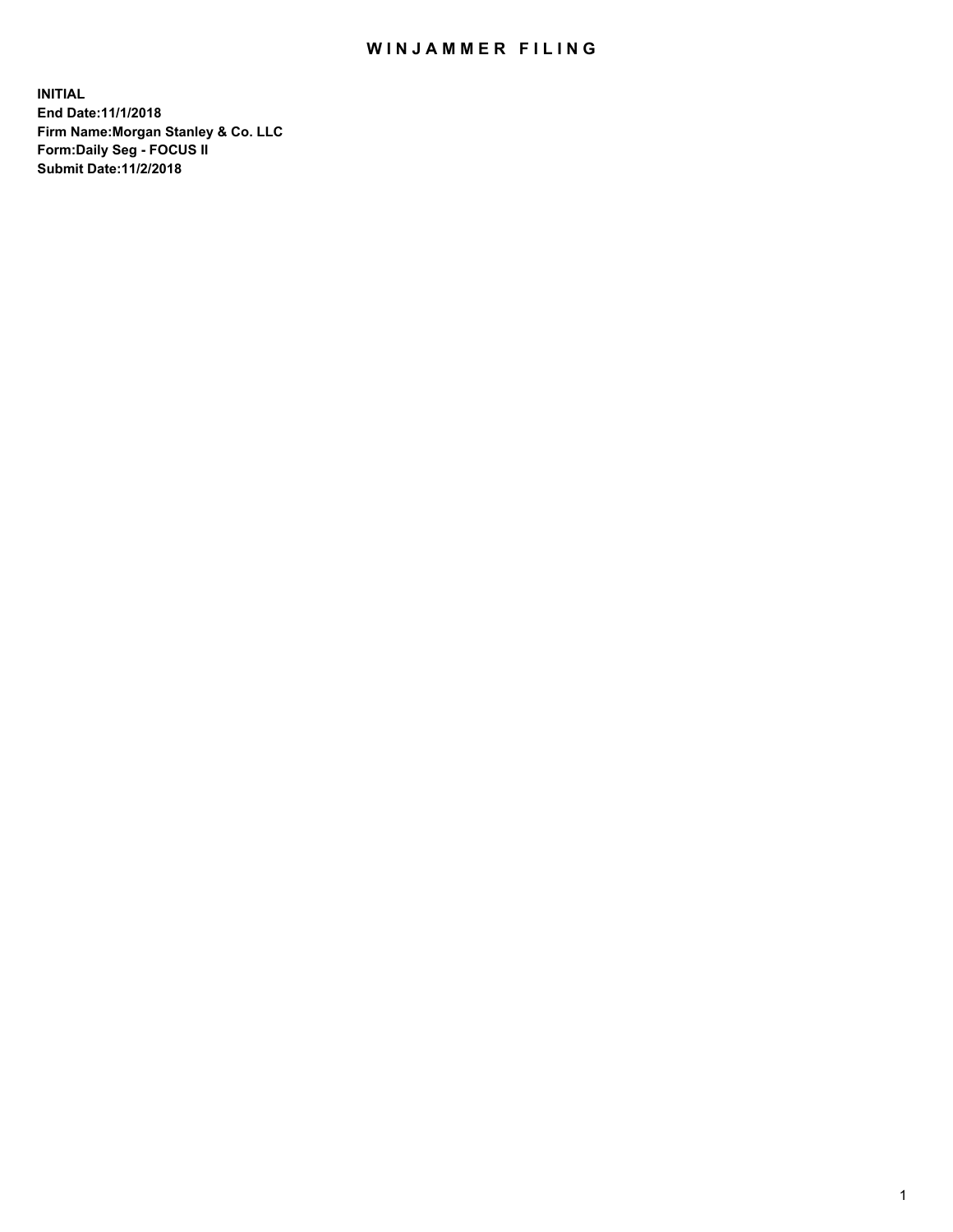## WIN JAMMER FILING

**INITIAL End Date:11/1/2018 Firm Name:Morgan Stanley & Co. LLC Form:Daily Seg - FOCUS II Submit Date:11/2/2018**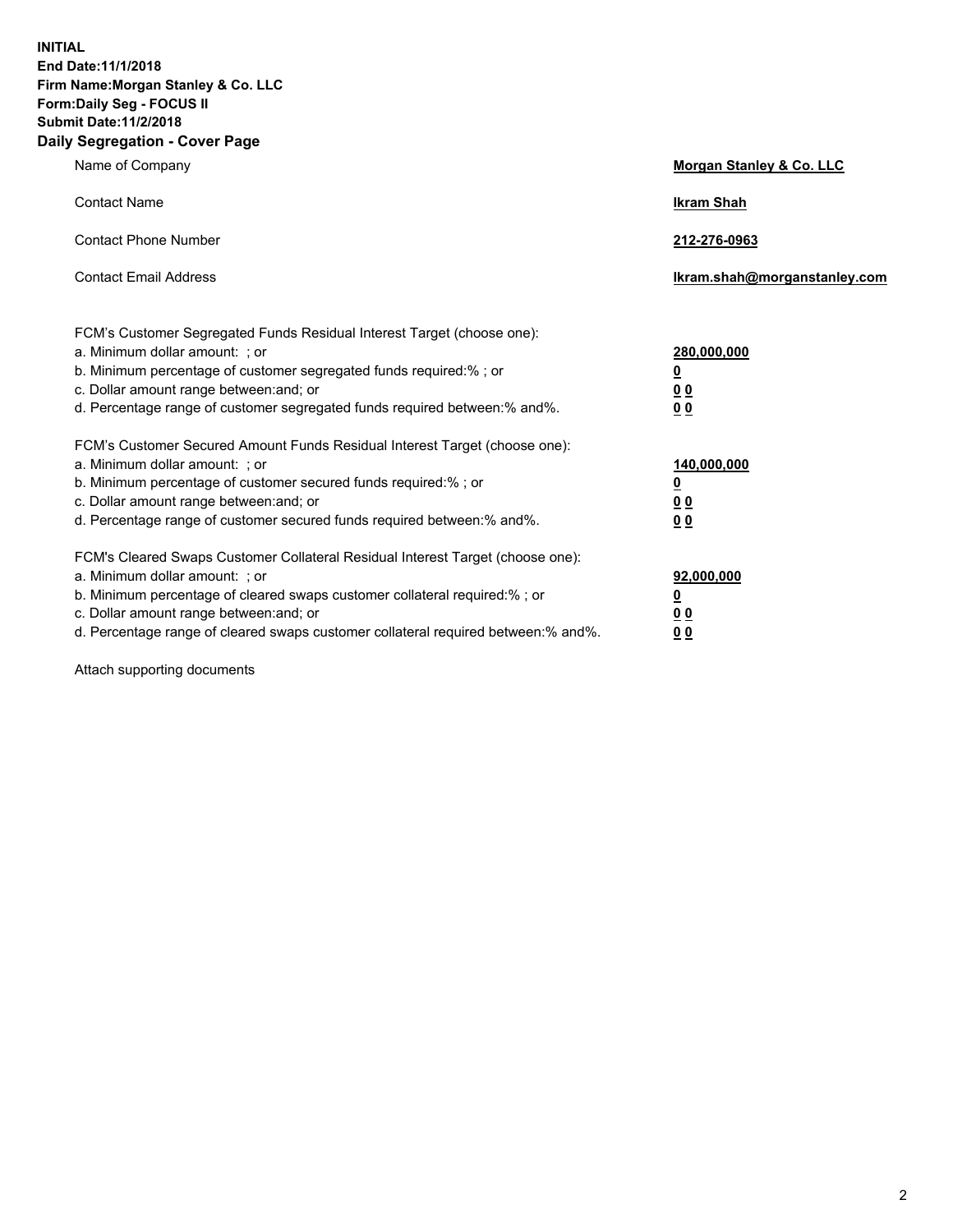**INITIAL End Date:11/1/2018 Firm Name:Morgan Stanley & Co. LLC Form:Daily Seg - FOCUS II Submit Date:11/2/2018 Daily Segregation - Cover Page**

| Name of Company                                                                                                                                                                                                                                                                                                                | Morgan Stanley & Co. LLC                               |
|--------------------------------------------------------------------------------------------------------------------------------------------------------------------------------------------------------------------------------------------------------------------------------------------------------------------------------|--------------------------------------------------------|
| <b>Contact Name</b>                                                                                                                                                                                                                                                                                                            | <b>Ikram Shah</b>                                      |
| <b>Contact Phone Number</b>                                                                                                                                                                                                                                                                                                    | 212-276-0963                                           |
| <b>Contact Email Address</b>                                                                                                                                                                                                                                                                                                   | lkram.shah@morganstanley.com                           |
| FCM's Customer Segregated Funds Residual Interest Target (choose one):<br>a. Minimum dollar amount: ; or<br>b. Minimum percentage of customer segregated funds required:% ; or<br>c. Dollar amount range between: and; or<br>d. Percentage range of customer segregated funds required between:% and%.                         | 280,000,000<br><u>0</u><br><u>0 0</u><br>0 Q           |
| FCM's Customer Secured Amount Funds Residual Interest Target (choose one):<br>a. Minimum dollar amount: ; or<br>b. Minimum percentage of customer secured funds required:%; or<br>c. Dollar amount range between: and; or<br>d. Percentage range of customer secured funds required between:% and%.                            | 140,000,000<br><u>0</u><br><u>00</u><br>0 <sub>0</sub> |
| FCM's Cleared Swaps Customer Collateral Residual Interest Target (choose one):<br>a. Minimum dollar amount: ; or<br>b. Minimum percentage of cleared swaps customer collateral required:% ; or<br>c. Dollar amount range between: and; or<br>d. Percentage range of cleared swaps customer collateral required between:% and%. | 92,000,000<br><u>0</u><br><u>00</u><br>0 <sup>0</sup>  |

Attach supporting documents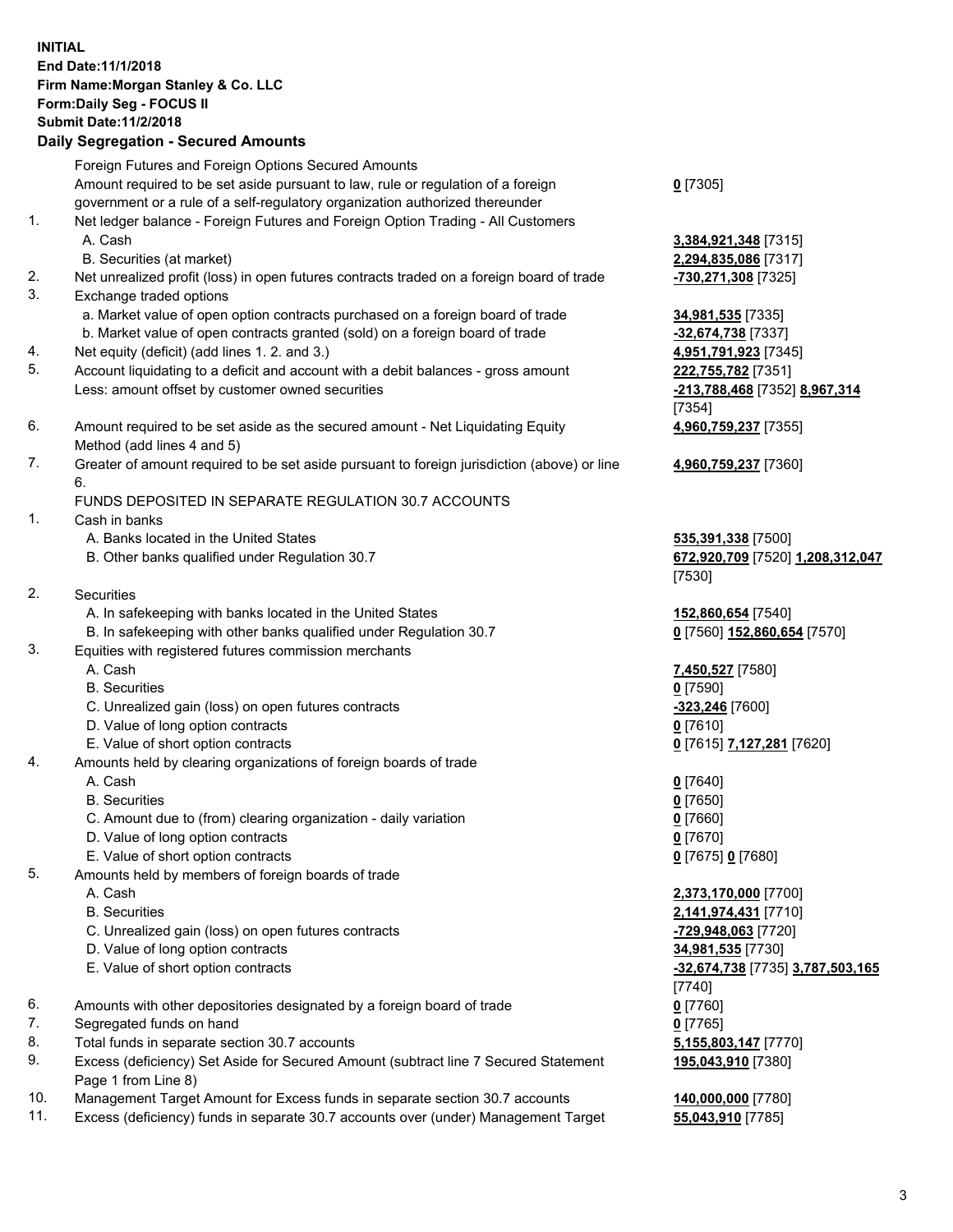## **INITIAL End Date:11/1/2018 Firm Name:Morgan Stanley & Co. LLC Form:Daily Seg - FOCUS II Submit Date:11/2/2018 Daily Segregation - Secured Amounts**

Foreign Futures and Foreign Options Secured Amounts Amount required to be set aside pursuant to law, rule or regulation of a foreign government or a rule of a self-regulatory organization authorized thereunder 1. Net ledger balance - Foreign Futures and Foreign Option Trading - All Customers A. Cash **3,384,921,348** [7315] B. Securities (at market) **2,294,835,086** [7317] 2. Net unrealized profit (loss) in open futures contracts traded on a foreign board of trade **-730,271,308** [7325] 3. Exchange traded options

- a. Market value of open option contracts purchased on a foreign board of trade **34,981,535** [7335]
- b. Market value of open contracts granted (sold) on a foreign board of trade **-32,674,738** [7337]
- 4. Net equity (deficit) (add lines 1. 2. and 3.) **4,951,791,923** [7345]
- 5. Account liquidating to a deficit and account with a debit balances gross amount **222,755,782** [7351] Less: amount offset by customer owned securities **-213,788,468** [7352] **8,967,314**
- 6. Amount required to be set aside as the secured amount Net Liquidating Equity Method (add lines 4 and 5)
- 7. Greater of amount required to be set aside pursuant to foreign jurisdiction (above) or line 6.

## FUNDS DEPOSITED IN SEPARATE REGULATION 30.7 ACCOUNTS

- 1. Cash in banks
	- A. Banks located in the United States **535,391,338** [7500]
	- B. Other banks qualified under Regulation 30.7 **672,920,709** [7520] **1,208,312,047**
- 2. Securities
	- A. In safekeeping with banks located in the United States **152,860,654** [7540]
	- B. In safekeeping with other banks qualified under Regulation 30.7 **0** [7560] **152,860,654** [7570]
- 3. Equities with registered futures commission merchants
	-
	- B. Securities **0** [7590]
	- C. Unrealized gain (loss) on open futures contracts **-323,246** [7600]
	- D. Value of long option contracts **0** [7610]
- E. Value of short option contracts **0** [7615] **7,127,281** [7620]
- 4. Amounts held by clearing organizations of foreign boards of trade
	-
	- B. Securities **0** [7650]
	- C. Amount due to (from) clearing organization daily variation **0** [7660]
	- D. Value of long option contracts **0** [7670]
	- E. Value of short option contracts **0** [7675] **0** [7680]
- 5. Amounts held by members of foreign boards of trade
	-
	-
	- C. Unrealized gain (loss) on open futures contracts **-729,948,063** [7720]
	- D. Value of long option contracts **34,981,535** [7730]
	- E. Value of short option contracts **-32,674,738** [7735] **3,787,503,165**
- 6. Amounts with other depositories designated by a foreign board of trade **0** [7760]
- 7. Segregated funds on hand **0** [7765]
- 8. Total funds in separate section 30.7 accounts **5,155,803,147** [7770]
- 9. Excess (deficiency) Set Aside for Secured Amount (subtract line 7 Secured Statement Page 1 from Line 8)
- 10. Management Target Amount for Excess funds in separate section 30.7 accounts **140,000,000** [7780]
- 11. Excess (deficiency) funds in separate 30.7 accounts over (under) Management Target **55,043,910** [7785]

**0** [7305]

[7354] **4,960,759,237** [7355]

**4,960,759,237** [7360]

[7530]

A. Cash **7,450,527** [7580]

A. Cash **0** [7640]

 A. Cash **2,373,170,000** [7700] B. Securities **2,141,974,431** [7710] [7740] **195,043,910** [7380]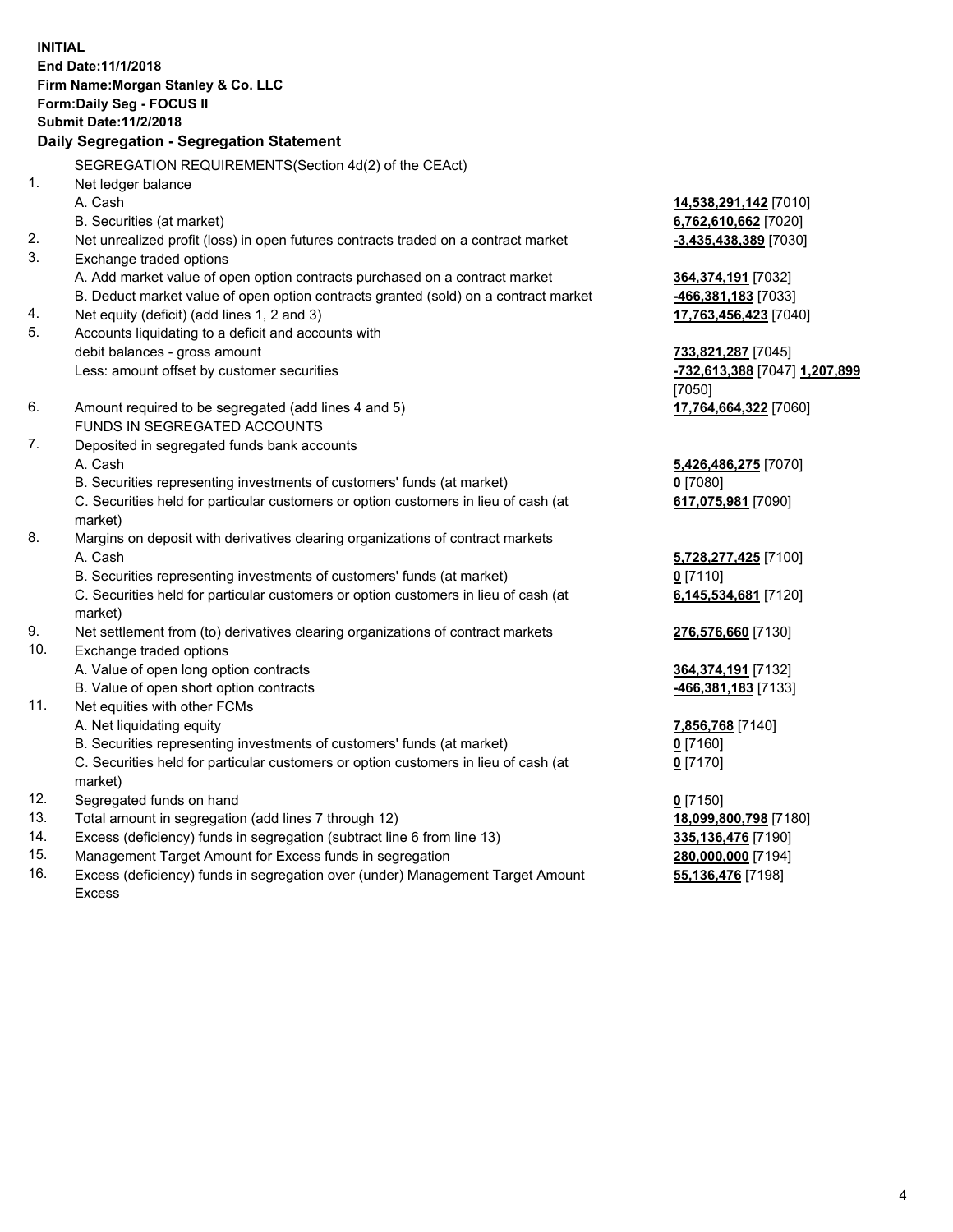**INITIAL End Date:11/1/2018 Firm Name:Morgan Stanley & Co. LLC Form:Daily Seg - FOCUS II Submit Date:11/2/2018 Daily Segregation - Segregation Statement** SEGREGATION REQUIREMENTS(Section 4d(2) of the CEAct) 1. Net ledger balance A. Cash **14,538,291,142** [7010] B. Securities (at market) **6,762,610,662** [7020] 2. Net unrealized profit (loss) in open futures contracts traded on a contract market **-3,435,438,389** [7030] 3. Exchange traded options A. Add market value of open option contracts purchased on a contract market **364,374,191** [7032] B. Deduct market value of open option contracts granted (sold) on a contract market **-466,381,183** [7033] 4. Net equity (deficit) (add lines 1, 2 and 3) **17,763,456,423** [7040] 5. Accounts liquidating to a deficit and accounts with debit balances - gross amount **733,821,287** [7045] Less: amount offset by customer securities **-732,613,388** [7047] **1,207,899** [7050] 6. Amount required to be segregated (add lines 4 and 5) **17,764,664,322** [7060] FUNDS IN SEGREGATED ACCOUNTS 7. Deposited in segregated funds bank accounts A. Cash **5,426,486,275** [7070] B. Securities representing investments of customers' funds (at market) **0** [7080] C. Securities held for particular customers or option customers in lieu of cash (at market) **617,075,981** [7090] 8. Margins on deposit with derivatives clearing organizations of contract markets A. Cash **5,728,277,425** [7100] B. Securities representing investments of customers' funds (at market) **0** [7110] C. Securities held for particular customers or option customers in lieu of cash (at market) **6,145,534,681** [7120] 9. Net settlement from (to) derivatives clearing organizations of contract markets **276,576,660** [7130] 10. Exchange traded options A. Value of open long option contracts **364,374,191** [7132] B. Value of open short option contracts **-466,381,183** [7133] 11. Net equities with other FCMs A. Net liquidating equity **7,856,768** [7140] B. Securities representing investments of customers' funds (at market) **0** [7160] C. Securities held for particular customers or option customers in lieu of cash (at market) **0** [7170] 12. Segregated funds on hand **0** [7150] 13. Total amount in segregation (add lines 7 through 12) **18,099,800,798** [7180] 14. Excess (deficiency) funds in segregation (subtract line 6 from line 13) **335,136,476** [7190]

- 15. Management Target Amount for Excess funds in segregation **280,000,000** [7194]
- 16. Excess (deficiency) funds in segregation over (under) Management Target Amount Excess

**55,136,476** [7198]